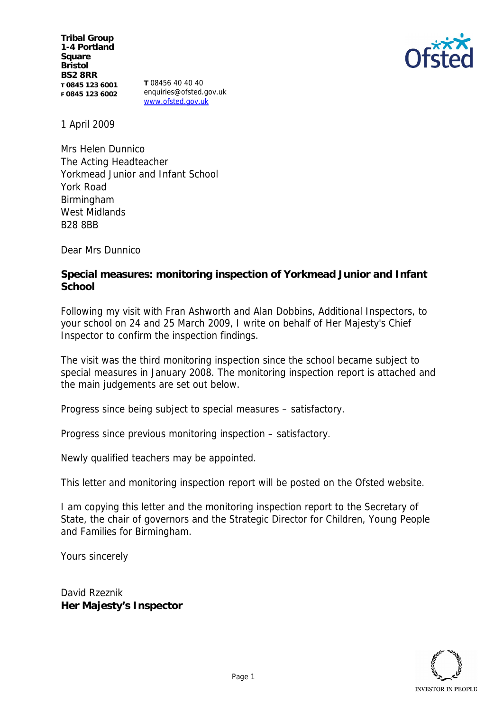**Tribal Group 1-4 Portland Square Bristol BS2 8RR T 0845 123 6001 F 0845 123 6002**

**T** 08456 40 40 40 enquiries@ofsted.gov.uk www.ofsted.gov.uk

1 April 2009

Mrs Helen Dunnico The Acting Headteacher Yorkmead Junior and Infant School York Road Birmingham West Midlands B28 8BB

Dear Mrs Dunnico

**Special measures: monitoring inspection of Yorkmead Junior and Infant School**

Following my visit with Fran Ashworth and Alan Dobbins, Additional Inspectors, to your school on 24 and 25 March 2009, I write on behalf of Her Majesty's Chief Inspector to confirm the inspection findings.

The visit was the third monitoring inspection since the school became subject to special measures in January 2008. The monitoring inspection report is attached and the main judgements are set out below.

Progress since being subject to special measures – satisfactory.

Progress since previous monitoring inspection – satisfactory.

Newly qualified teachers may be appointed.

This letter and monitoring inspection report will be posted on the Ofsted website.

I am copying this letter and the monitoring inspection report to the Secretary of State, the chair of governors and the Strategic Director for Children, Young People and Families for Birmingham.

Yours sincerely

David Rzeznik **Her Majesty's Inspector**

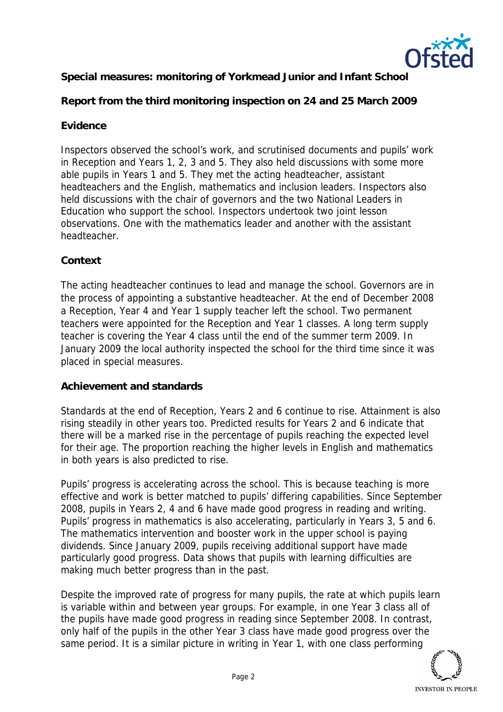

**Special measures: monitoring of Yorkmead Junior and Infant School**

**Report from the third monitoring inspection on 24 and 25 March 2009**

# **Evidence**

Inspectors observed the school's work, and scrutinised documents and pupils' work in Reception and Years 1, 2, 3 and 5. They also held discussions with some more able pupils in Years 1 and 5. They met the acting headteacher, assistant headteachers and the English, mathematics and inclusion leaders. Inspectors also held discussions with the chair of governors and the two National Leaders in Education who support the school. Inspectors undertook two joint lesson observations. One with the mathematics leader and another with the assistant headteacher.

## **Context**

The acting headteacher continues to lead and manage the school. Governors are in the process of appointing a substantive headteacher. At the end of December 2008 a Reception, Year 4 and Year 1 supply teacher left the school. Two permanent teachers were appointed for the Reception and Year 1 classes. A long term supply teacher is covering the Year 4 class until the end of the summer term 2009. In January 2009 the local authority inspected the school for the third time since it was placed in special measures.

### **Achievement and standards**

Standards at the end of Reception, Years 2 and 6 continue to rise. Attainment is also rising steadily in other years too. Predicted results for Years 2 and 6 indicate that there will be a marked rise in the percentage of pupils reaching the expected level for their age. The proportion reaching the higher levels in English and mathematics in both years is also predicted to rise.

Pupils' progress is accelerating across the school. This is because teaching is more effective and work is better matched to pupils' differing capabilities. Since September 2008, pupils in Years 2, 4 and 6 have made good progress in reading and writing. Pupils' progress in mathematics is also accelerating, particularly in Years 3, 5 and 6. The mathematics intervention and booster work in the upper school is paying dividends. Since January 2009, pupils receiving additional support have made particularly good progress. Data shows that pupils with learning difficulties are making much better progress than in the past.

Despite the improved rate of progress for many pupils, the rate at which pupils learn is variable within and between year groups. For example, in one Year 3 class all of the pupils have made good progress in reading since September 2008. In contrast, only half of the pupils in the other Year 3 class have made good progress over the same period. It is a similar picture in writing in Year 1, with one class performing

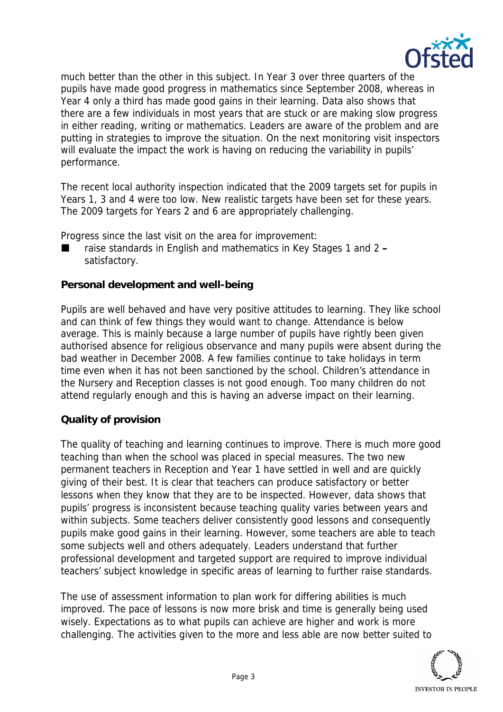

much better than the other in this subject. In Year 3 over three quarters of the pupils have made good progress in mathematics since September 2008, whereas in Year 4 only a third has made good gains in their learning. Data also shows that there are a few individuals in most years that are stuck or are making slow progress in either reading, writing or mathematics. Leaders are aware of the problem and are putting in strategies to improve the situation. On the next monitoring visit inspectors will evaluate the impact the work is having on reducing the variability in pupils' performance.

The recent local authority inspection indicated that the 2009 targets set for pupils in Years 1, 3 and 4 were too low. New realistic targets have been set for these years. The 2009 targets for Years 2 and 6 are appropriately challenging.

Progress since the last visit on the area for improvement:

 raise standards in English and mathematics in Key Stages 1 and 2 **–** satisfactory.

### **Personal development and well-being**

Pupils are well behaved and have very positive attitudes to learning. They like school and can think of few things they would want to change. Attendance is below average. This is mainly because a large number of pupils have rightly been given authorised absence for religious observance and many pupils were absent during the bad weather in December 2008. A few families continue to take holidays in term time even when it has not been sanctioned by the school. Children's attendance in the Nursery and Reception classes is not good enough. Too many children do not attend regularly enough and this is having an adverse impact on their learning.

### **Quality of provision**

The quality of teaching and learning continues to improve. There is much more good teaching than when the school was placed in special measures. The two new permanent teachers in Reception and Year 1 have settled in well and are quickly giving of their best. It is clear that teachers can produce satisfactory or better lessons when they know that they are to be inspected. However, data shows that pupils' progress is inconsistent because teaching quality varies between years and within subjects. Some teachers deliver consistently good lessons and consequently pupils make good gains in their learning. However, some teachers are able to teach some subjects well and others adequately. Leaders understand that further professional development and targeted support are required to improve individual teachers' subject knowledge in specific areas of learning to further raise standards.

The use of assessment information to plan work for differing abilities is much improved. The pace of lessons is now more brisk and time is generally being used wisely. Expectations as to what pupils can achieve are higher and work is more challenging. The activities given to the more and less able are now better suited to

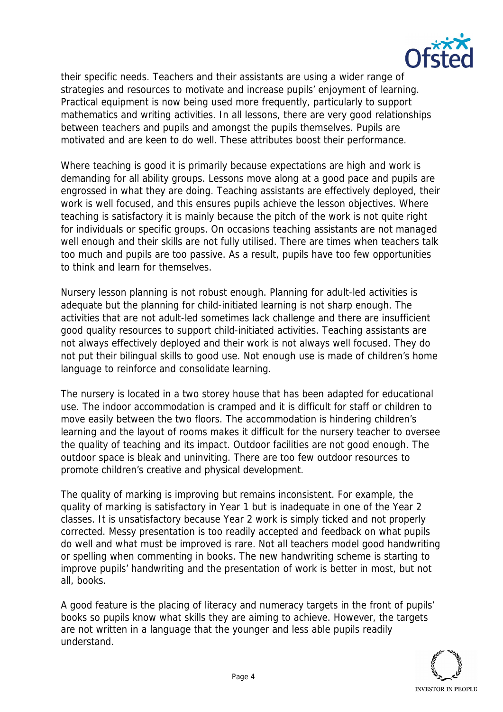

their specific needs. Teachers and their assistants are using a wider range of strategies and resources to motivate and increase pupils' enjoyment of learning. Practical equipment is now being used more frequently, particularly to support mathematics and writing activities. In all lessons, there are very good relationships between teachers and pupils and amongst the pupils themselves. Pupils are motivated and are keen to do well. These attributes boost their performance.

Where teaching is good it is primarily because expectations are high and work is demanding for all ability groups. Lessons move along at a good pace and pupils are engrossed in what they are doing. Teaching assistants are effectively deployed, their work is well focused, and this ensures pupils achieve the lesson objectives. Where teaching is satisfactory it is mainly because the pitch of the work is not quite right for individuals or specific groups. On occasions teaching assistants are not managed well enough and their skills are not fully utilised. There are times when teachers talk too much and pupils are too passive. As a result, pupils have too few opportunities to think and learn for themselves.

Nursery lesson planning is not robust enough. Planning for adult-led activities is adequate but the planning for child-initiated learning is not sharp enough. The activities that are not adult-led sometimes lack challenge and there are insufficient good quality resources to support child-initiated activities. Teaching assistants are not always effectively deployed and their work is not always well focused. They do not put their bilingual skills to good use. Not enough use is made of children's home language to reinforce and consolidate learning.

The nursery is located in a two storey house that has been adapted for educational use. The indoor accommodation is cramped and it is difficult for staff or children to move easily between the two floors. The accommodation is hindering children's learning and the layout of rooms makes it difficult for the nursery teacher to oversee the quality of teaching and its impact. Outdoor facilities are not good enough. The outdoor space is bleak and uninviting. There are too few outdoor resources to promote children's creative and physical development.

The quality of marking is improving but remains inconsistent. For example, the quality of marking is satisfactory in Year 1 but is inadequate in one of the Year 2 classes. It is unsatisfactory because Year 2 work is simply ticked and not properly corrected. Messy presentation is too readily accepted and feedback on what pupils do well and what must be improved is rare. Not all teachers model good handwriting or spelling when commenting in books. The new handwriting scheme is starting to improve pupils' handwriting and the presentation of work is better in most, but not all, books.

A good feature is the placing of literacy and numeracy targets in the front of pupils' books so pupils know what skills they are aiming to achieve. However, the targets are not written in a language that the younger and less able pupils readily understand.

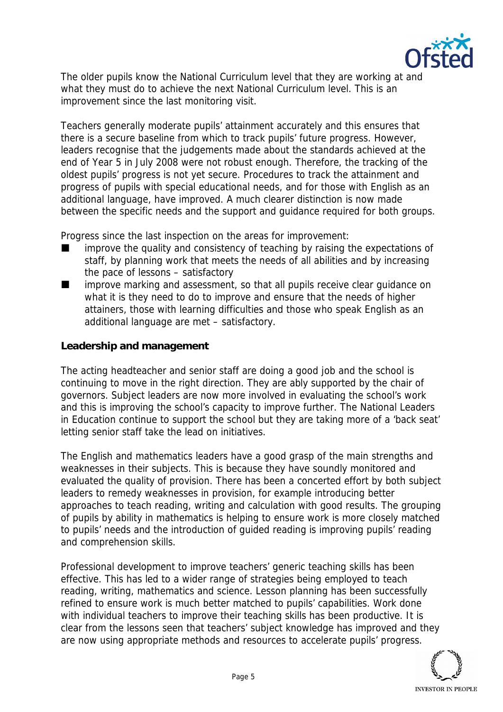

The older pupils know the National Curriculum level that they are working at and what they must do to achieve the next National Curriculum level. This is an improvement since the last monitoring visit.

Teachers generally moderate pupils' attainment accurately and this ensures that there is a secure baseline from which to track pupils' future progress. However, leaders recognise that the judgements made about the standards achieved at the end of Year 5 in July 2008 were not robust enough. Therefore, the tracking of the oldest pupils' progress is not yet secure. Procedures to track the attainment and progress of pupils with special educational needs, and for those with English as an additional language, have improved. A much clearer distinction is now made between the specific needs and the support and guidance required for both groups.

Progress since the last inspection on the areas for improvement:

- $\blacksquare$  improve the quality and consistency of teaching by raising the expectations of staff, by planning work that meets the needs of all abilities and by increasing the pace of lessons – satisfactory
- improve marking and assessment, so that all pupils receive clear guidance on what it is they need to do to improve and ensure that the needs of higher attainers, those with learning difficulties and those who speak English as an additional language are met – satisfactory.

**Leadership and management**

The acting headteacher and senior staff are doing a good job and the school is continuing to move in the right direction. They are ably supported by the chair of governors. Subject leaders are now more involved in evaluating the school's work and this is improving the school's capacity to improve further. The National Leaders in Education continue to support the school but they are taking more of a 'back seat' letting senior staff take the lead on initiatives.

The English and mathematics leaders have a good grasp of the main strengths and weaknesses in their subjects. This is because they have soundly monitored and evaluated the quality of provision. There has been a concerted effort by both subject leaders to remedy weaknesses in provision, for example introducing better approaches to teach reading, writing and calculation with good results. The grouping of pupils by ability in mathematics is helping to ensure work is more closely matched to pupils' needs and the introduction of guided reading is improving pupils' reading and comprehension skills.

Professional development to improve teachers' generic teaching skills has been effective. This has led to a wider range of strategies being employed to teach reading, writing, mathematics and science. Lesson planning has been successfully refined to ensure work is much better matched to pupils' capabilities. Work done with individual teachers to improve their teaching skills has been productive. It is clear from the lessons seen that teachers' subject knowledge has improved and they are now using appropriate methods and resources to accelerate pupils' progress.